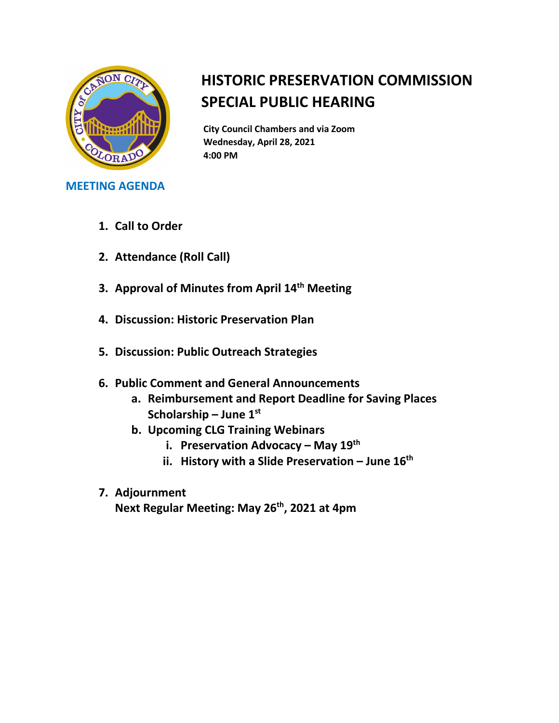

## **HISTORIC PRESERVATION COMMISSION SPECIAL PUBLIC HEARING**

**City Council Chambers and via Zoom Wednesday, April 28, 2021 4:00 PM**

## **MEETING AGENDA**

- **1. Call to Order**
- **2. Attendance (Roll Call)**
- **3. Approval of Minutes from April 14th Meeting**
- **4. Discussion: Historic Preservation Plan**
- **5. Discussion: Public Outreach Strategies**
- **6. Public Comment and General Announcements** 
	- **a. Reimbursement and Report Deadline for Saving Places Scholarship – June 1st**
	- **b. Upcoming CLG Training Webinars** 
		- **i. Preservation Advocacy – May 19th**
		- **ii. History with a Slide Preservation – June 16th**
- **7. Adjournment**

**Next Regular Meeting: May 26th, 2021 at 4pm**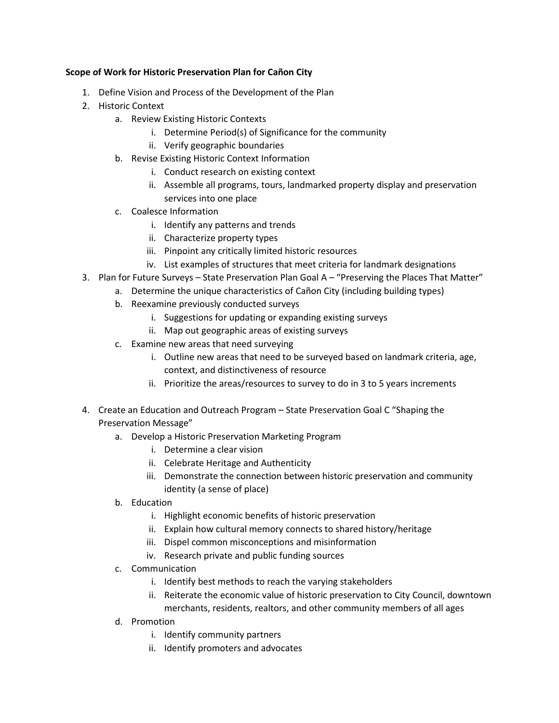## **Scope of Work for Historic Preservation Plan for Cañon City**

- 1. Define Vision and Process of the Development of the Plan
- 2. Historic Context
	- a. Review Existing Historic Contexts
		- i. Determine Period(s) of Significance for the community
		- ii. Verify geographic boundaries
	- b. Revise Existing Historic Context Information
		- i. Conduct research on existing context
		- ii. Assemble all programs, tours, landmarked property display and preservation services into one place
	- c. Coalesce Information
		- i. Identify any patterns and trends
		- ii. Characterize property types
		- iii. Pinpoint any critically limited historic resources
		- iv. List examples of structures that meet criteria for landmark designations
- 3. Plan for Future Surveys State Preservation Plan Goal A "Preserving the Places That Matter"
	- a. Determine the unique characteristics of Cañon City (including building types)
	- b. Reexamine previously conducted surveys
		- i. Suggestions for updating or expanding existing surveys
		- ii. Map out geographic areas of existing surveys
	- c. Examine new areas that need surveying
		- i. Outline new areas that need to be surveyed based on landmark criteria, age, context, and distinctiveness of resource
		- ii. Prioritize the areas/resources to survey to do in 3 to 5 years increments
- 4. Create an Education and Outreach Program State Preservation Goal C "Shaping the Preservation Message"
	- a. Develop a Historic Preservation Marketing Program
		- i. Determine a clear vision
		- ii. Celebrate Heritage and Authenticity
		- iii. Demonstrate the connection between historic preservation and community identity (a sense of place)
	- b. Education
		- i. Highlight economic benefits of historic preservation
		- ii. Explain how cultural memory connects to shared history/heritage
		- iii. Dispel common misconceptions and misinformation
		- iv. Research private and public funding sources
	- c. Communication
		- i. Identify best methods to reach the varying stakeholders
		- ii. Reiterate the economic value of historic preservation to City Council, downtown merchants, residents, realtors, and other community members of all ages
	- d. Promotion
		- i. Identify community partners
		- ii. Identify promoters and advocates